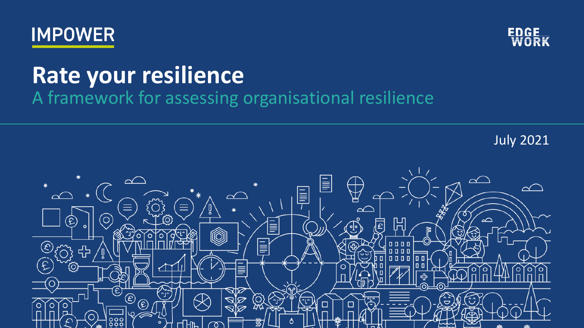



### **Rate your resilience**

A framework for assessing organisational resilience

July 2021

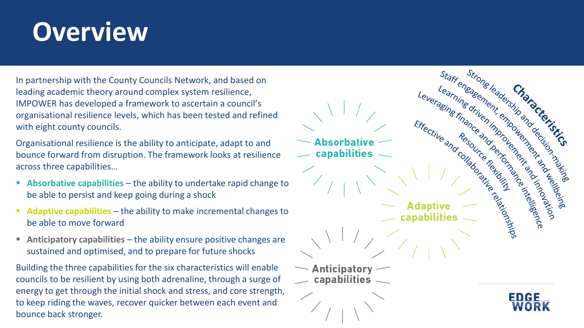### **Overview**

In partnership with the County Councils Network, and based on leading academic theory around complex system resilience, IMPOWER has developed a framework to ascertain a council's organisational resilience levels, which has been tested and refined with eight county councils.

Organisational resilience is the ability to anticipate, adapt to and bounce forward from disruption. The framework looks at resilience across three capabilities…

- **Absorbative capabilities**  the ability to undertake rapid change to be able to persist and keep going during a shock
- **Adaptive capabilities**  the ability to make incremental changes to be able to move forward
- **Anticipatory capabilities**  the ability ensure positive changes are sustained and optimised, and to prepare for future shocks

Building the three capabilities for the six characteristics will enable councils to be resilient by using both adrenaline, through a surge of energy to get through the initial shock and stress, and core strength, to keep riding the waves, recover quicker between each event and bounce back stronger.

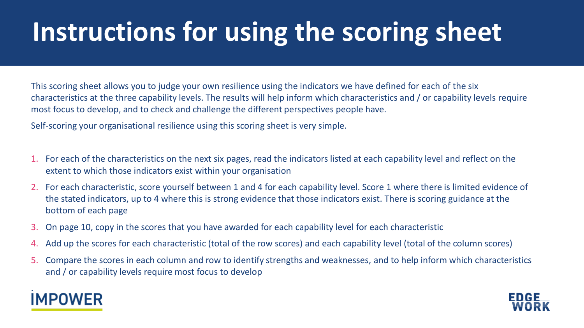## **Instructions for using the scoring sheet**

This scoring sheet allows you to judge your own resilience using the indicators we have defined for each of the six characteristics at the three capability levels. The results will help inform which characteristics and / or capability levels require most focus to develop, and to check and challenge the different perspectives people have.

Self-scoring your organisational resilience using this scoring sheet is very simple.

- 1. For each of the characteristics on the next six pages, read the indicators listed at each capability level and reflect on the extent to which those indicators exist within your organisation
- 2. For each characteristic, score yourself between 1 and 4 for each capability level. Score 1 where there is limited evidence of the stated indicators, up to 4 where this is strong evidence that those indicators exist. There is scoring guidance at the bottom of each page
- 3. On page 10, copy in the scores that you have awarded for each capability level for each characteristic
- 4. Add up the scores for each characteristic (total of the row scores) and each capability level (total of the column scores)
- 5. Compare the scores in each column and row to identify strengths and weaknesses, and to help inform which characteristics and / or capability levels require most focus to develop



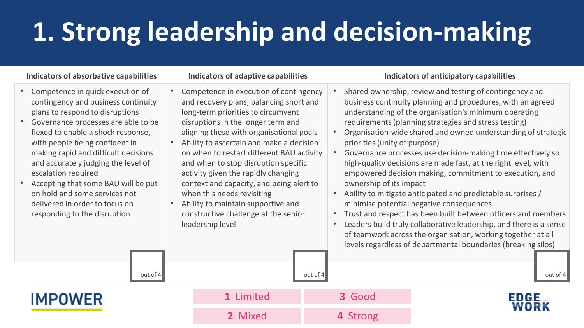# **1. Strong leadership and decision-making**

**1** Limited **3** Good

**2** Mixed **4** Strong

- Competence in quick execution of contingency and business continuity plans to respond to disruptions
- Governance processes are able to be flexed to enable a shock response, with people being confident in making rapid and difficult decisions and accurately judging the level of escalation required
- Accepting that some BAU will be put on hold and some services not delivered in order to focus on responding to the disruption

- Competence in execution of contingency and recovery plans, balancing short and long-term priorities to circumvent disruptions in the longer term and aligning these with organisational goals
- Ability to ascertain and make a decision on when to restart different BAU activity and when to stop disruption specific activity given the rapidly changing context and capacity, and being alert to when this needs revisiting
- Ability to maintain supportive and constructive challenge at the senior leadership level

### **Indicators of absorbative capabilities Indicators of adaptive capabilities Indicators of anticipatory capabilities**

• Shared ownership, review and testing of contingency and business continuity planning and procedures, with an agreed understanding of the organisation's minimum operating requirements (planning strategies and stress testing) • Organisation-wide shared and owned understanding of strategic priorities (unity of purpose) • Governance processes use decision-making time effectively so high-quality decisions are made fast, at the right level, with empowered decision making, commitment to execution, and ownership of its impact • Ability to mitigate anticipated and predictable surprises / minimise potential negative consequences • Trust and respect has been built between officers and members Leaders build truly collaborative leadership, and there is a sense of teamwork across the organisation, working together at all levels regardless of departmental boundaries (breaking silos) out of 4 out of 4 out of 4 out of 4 out of 4 out of 4 out of 4 out of 4 out of 4 out of 4

EDGE

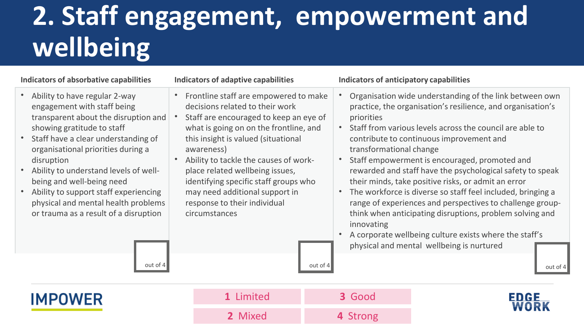## **2. Staff engagement, empowerment and wellbeing**

### **Indicators of absorbative capabilities Indicators of adaptive capabilities Indicators of anticipatory capabilities**

- Ability to have regular 2-way engagement with staff being transparent about the disruption and showing gratitude to staff
- Staff have a clear understanding of organisational priorities during a disruption
- Ability to understand levels of wellbeing and well-being need
- Ability to support staff experiencing physical and mental health problems or trauma as a result of a disruption

- Frontline staff are empowered to make decisions related to their work
- Staff are encouraged to keep an eye of what is going on on the frontline, and this insight is valued (situational awareness)
- Ability to tackle the causes of workplace related wellbeing issues, identifying specific staff groups who may need additional support in response to their individual circumstances

- Organisation wide understanding of the link between own practice, the organisation's resilience, and organisation's priorities
- Staff from various levels across the council are able to contribute to continuous improvement and transformational change
- Staff empowerment is encouraged, promoted and rewarded and staff have the psychological safety to speak their minds, take positive risks, or admit an error
- The workforce is diverse so staff feel included, bringing a range of experiences and perspectives to challenge groupthink when anticipating disruptions, problem solving and innovating
- A corporate wellbeing culture exists where the staff's physical and mental wellbeing is nurtured

out of 4 out of 4 out of 4 out of 4 out of 4 out of 4 out of 4 out of 4 out of 4



| 1 Limited | 3 Good   |
|-----------|----------|
| 2 Mixed   | 4 Strong |

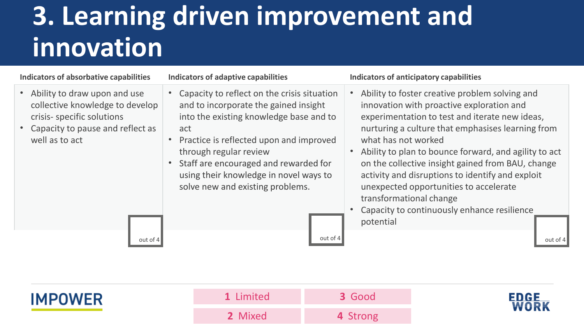## **3. Learning driven improvement and innovation**

### **Indicators of absorbative capabilities Indicators of adaptive capabilities Indicators of anticipatory capabilities**

- Ability to draw upon and use collective knowledge to develop crisis- specific solutions
- Capacity to pause and reflect as well as to act

- Capacity to reflect on the crisis situation and to incorporate the gained insight into the existing knowledge base and to act
- Practice is reflected upon and improved through regular review
- Staff are encouraged and rewarded for using their knowledge in novel ways to solve new and existing problems.

- Ability to foster creative problem solving and innovation with proactive exploration and experimentation to test and iterate new ideas, nurturing a culture that emphasises learning from what has not worked
- Ability to plan to bounce forward, and agility to act on the collective insight gained from BAU, change activity and disruptions to identify and exploit unexpected opportunities to accelerate transformational change
- Capacity to continuously enhance resilience potential

out of 4 out of 4 out of 4 out of 4 out of 4 out of 4 out of 4 out of 4 out of 4



| 1 Limited | 3 Good   |
|-----------|----------|
| 2 Mixed   | 4 Strong |

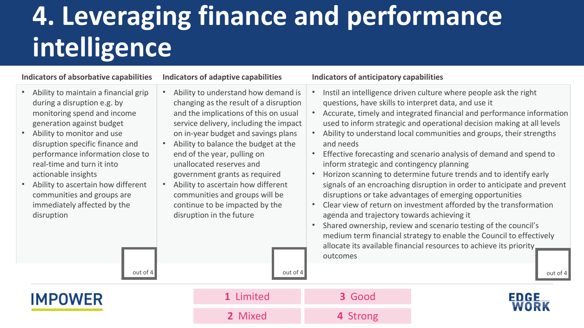## **4. Leveraging finance and performance intelligence**

### **Indicators of absorbative capabilities Indicators of adaptive capabilities Indicators of anticipatory capabilities**

- Ability to maintain a financial grip during a disruption e.g. by monitoring spend and income generation against budget
- Ability to monitor and use disruption specific finance and performance information close to real-time and turn it into actionable insights
- Ability to ascertain how different communities and groups are immediately affected by the disruption
- Ability to understand how demand is changing as the result of a disruption and the implications of this on usual service delivery, including the impact on in-year budget and savings plans
- Ability to balance the budget at the end of the year, pulling on unallocated reserves and government grants as required
- Ability to ascertain how different communities and groups will be continue to be impacted by the disruption in the future

- Instil an intelligence driven culture where people ask the right questions, have skills to interpret data, and use it • Accurate, timely and integrated financial and performance information used to inform strategic and operational decision making at all levels
- Ability to understand local communities and groups, their strengths and needs
- Effective forecasting and scenario analysis of demand and spend to inform strategic and contingency planning
- Horizon scanning to determine future trends and to identify early signals of an encroaching disruption in order to anticipate and prevent disruptions or take advantages of emerging opportunities
- Clear view of return on investment afforded by the transformation agenda and trajectory towards achieving it
- Shared ownership, review and scenario testing of the council's medium term financial strategy to enable the Council to effectively allocate its available financial resources to achieve its priority outcomes

**IMPOWER** 

out of 4 out of 4 out of 4 out of 4 out of 4 out of 4 out of 4 out of 4 out of 4 **1** Limited **3** Good **2** Mixed **4** Strong

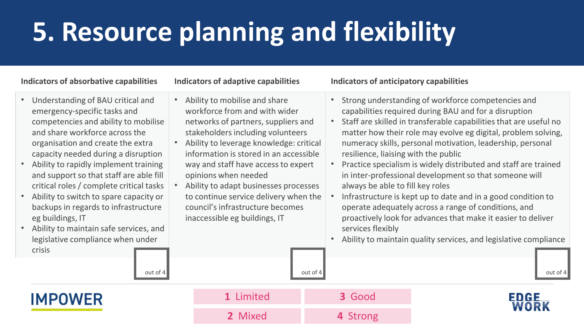# **5. Resource planning and flexibility**

- Understanding of BAU critical and emergency-specific tasks and competencies and ability to mobilise and share workforce across the organisation and create the extra capacity needed during a disruption
- Ability to rapidly implement training and support so that staff are able fill critical roles / complete critical tasks
- Ability to switch to spare capacity or backups in regards to infrastructure eg buildings, IT
- legislative compliance when under crisis
- Ability to mobilise and share workforce from and with wider networks of partners, suppliers and stakeholders including volunteers
- Ability to leverage knowledge: critical information is stored in an accessible way and staff have access to expert opinions when needed
- Ability to adapt businesses processes to continue service delivery when the council's infrastructure becomes inaccessible eg buildings, IT

### **Indicators of absorbative capabilities Indicators of adaptive capabilities Indicators of anticipatory capabilities**

- Strong understanding of workforce competencies and capabilities required during BAU and for a disruption
- Staff are skilled in transferable capabilities that are useful no matter how their role may evolve eg digital, problem solving, numeracy skills, personal motivation, leadership, personal resilience, liaising with the public
- Practice specialism is widely distributed and staff are trained in inter-professional development so that someone will always be able to fill key roles
- Infrastructure is kept up to date and in a good condition to operate adequately across a range of conditions, and proactively look for advances that make it easier to deliver services flexibly
- Ability to maintain quality services, and legislative compliance

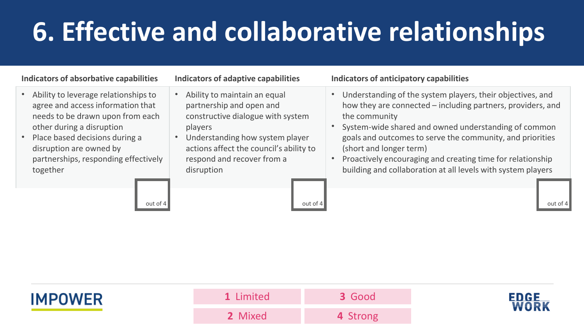# **6. Effective and collaborative relationships**

### **Indicators of absorbative capabilities Indicators of adaptive capabilities Indicators of anticipatory capabilities**

- Ability to leverage relationships to agree and access information that needs to be drawn upon from each other during a disruption
- Place based decisions during a disruption are owned by partnerships, responding effectively together

- Ability to maintain an equal partnership and open and constructive dialogue with system players
- Understanding how system player actions affect the council's ability to respond and recover from a disruption

- Understanding of the system players, their objectives, and how they are connected – including partners, providers, and the community
- System-wide shared and owned understanding of common goals and outcomes to serve the community, and priorities (short and longer term)
- Proactively encouraging and creating time for relationship building and collaboration at all levels with system players

out of 4 out of 4 out of 4 out of 4 out of 4 out of 4 out of 4 out of 4 out of 4



| 1 Limited | 3 Good   |
|-----------|----------|
| 2 Mixed   | 4 Strong |

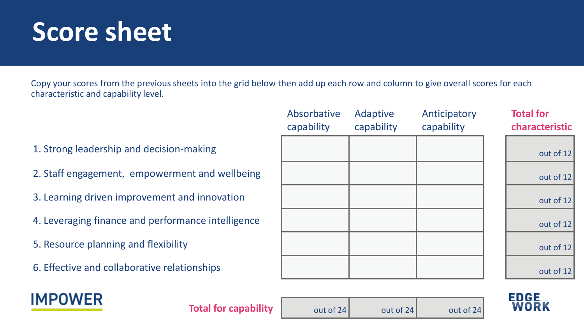### **Score sheet**

Copy your scores from the previous sheets into the grid below then add up each row and column to give overall scores for each characteristic and capability level.

- 1. Strong leadership and decision-making
- 2. Staff engagement, empowerment and wellbeing
- 3. Learning driven improvement and innovation
- 4. Leveraging finance and performance intelligence
- 5. Resource planning and flexibility
- 6. Effective and collaborative relationships

| Absorbative<br>capability | Adaptive<br>capability | Anticipatory<br>capability | <b>Total for</b><br>characteristic |
|---------------------------|------------------------|----------------------------|------------------------------------|
|                           |                        |                            | out of 12                          |
|                           |                        |                            | out of 12                          |
|                           |                        |                            | out of 12                          |
|                           |                        |                            | out of 12                          |
|                           |                        |                            | out of 12                          |
|                           |                        |                            | out of 12                          |

**FDGF** 



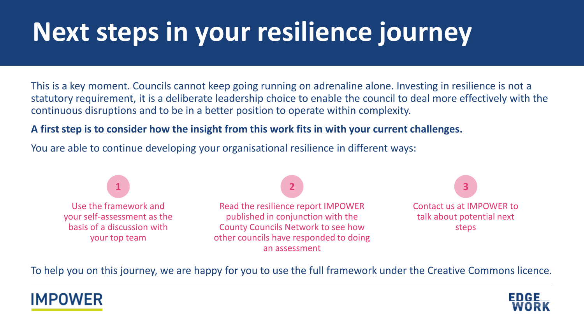## **Next steps in your resilience journey**

This is a key moment. Councils cannot keep going running on adrenaline alone. Investing in resilience is not a statutory requirement, it is a deliberate leadership choice to enable the council to deal more effectively with the continuous disruptions and to be in a better position to operate within complexity.

### **A first step is to consider how the insight from this work fits in with your current challenges.**

You are able to continue developing your organisational resilience in different ways:



To help you on this journey, we are happy for you to use the full framework under the Creative Commons licence.



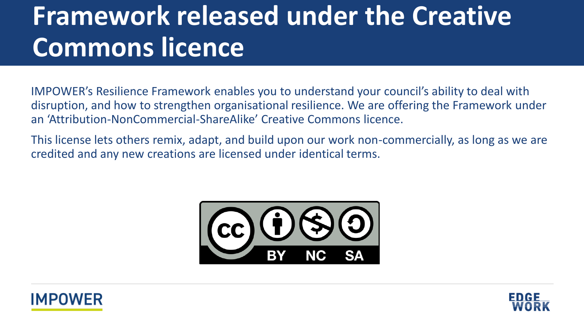## **Framework released under the Creative Commons licence**

IMPOWER's Resilience Framework enables you to understand your council's ability to deal with disruption, and how to strengthen organisational resilience. We are offering the Framework under an 'Attribution-NonCommercial-ShareAlike' Creative Commons licence.

This license lets others remix, adapt, and build upon our work non-commercially, as long as we are credited and any new creations are licensed under identical terms.